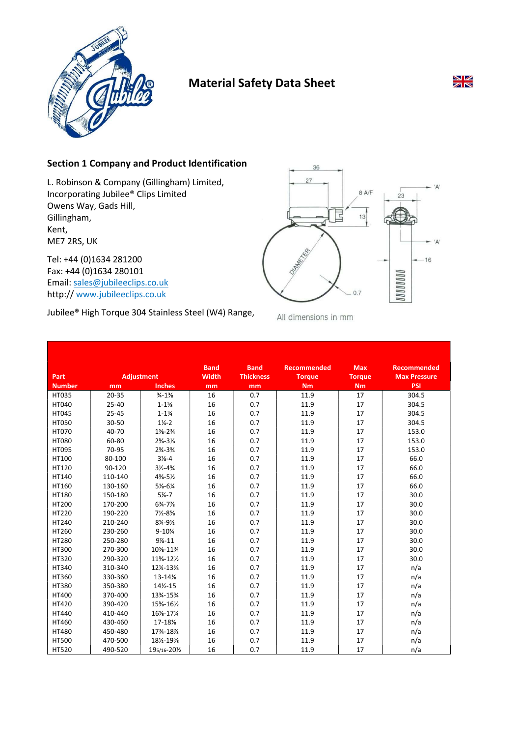

# Material Safety Data Sheet



L. Robinson & Company (Gillingham) Limited, Incorporating Jubilee® Clips Limited Owens Way, Gads Hill, Gillingham, Kent, ME7 2RS, UK

Tel: +44 (0)1634 281200 Fax: +44 (0)1634 280101 Email: sales@jubileeclips.co.uk http:// www.jubileeclips.co.uk



Jubilee® High Torque 304 Stainless Steel (W4) Range,

All dimensions in mm

36  $27$ 

|               |                   |                                 | <b>Band</b>  | <b>Band</b>      | <b>Recommended</b> | <b>Max</b>    | <b>Recommended</b>  |
|---------------|-------------------|---------------------------------|--------------|------------------|--------------------|---------------|---------------------|
| Part          | <b>Adjustment</b> |                                 | <b>Width</b> | <b>Thickness</b> | <b>Torque</b>      | <b>Torque</b> | <b>Max Pressure</b> |
| <b>Number</b> | mm                | <b>Inches</b>                   | mm           | mm               | <b>Nm</b>          | <b>Nm</b>     | <b>PSI</b>          |
| <b>HT035</b>  | $20 - 35$         | $\frac{3}{4} - 1\frac{3}{8}$    | 16           | 0.7              | 11.9               | 17            | 304.5               |
| HT040         | 25-40             | $1 - 1\%$                       | 16           | 0.7              | 11.9               | 17            | 304.5               |
| <b>HT045</b>  | $25 - 45$         | $1 - 1\frac{3}{4}$              | 16           | 0.7              | 11.9               | 17            | 304.5               |
| <b>HT050</b>  | 30-50             | $1\frac{1}{4} - 2$              | 16           | 0.7              | 11.9               | 17            | 304.5               |
| <b>HT070</b>  | 40-70             | $1\frac{5}{8} - 2\frac{3}{4}$   | 16           | 0.7              | 11.9               | 17            | 153.0               |
| <b>HT080</b>  | 60-80             | $2\frac{3}{8} - 3\frac{1}{8}$   | 16           | 0.7              | 11.9               | 17            | 153.0               |
| HT095         | 70-95             | $2\frac{3}{4}-3\frac{3}{4}$     | 16           | 0.7              | 11.9               | 17            | 153.0               |
| HT100         | 80-100            | $3\frac{1}{8} - 4$              | 16           | 0.7              | 11.9               | 17            | 66.0                |
| HT120         | 90-120            | $3\frac{1}{2} - 4\frac{3}{4}$   | 16           | 0.7              | 11.9               | 17            | 66.0                |
| HT140         | 110-140           | $4\frac{3}{8} - 5\frac{1}{2}$   | 16           | 0.7              | 11.9               | 17            | 66.0                |
| HT160         | 130-160           | $5\frac{1}{8} - 6\frac{1}{4}$   | 16           | 0.7              | 11.9               | 17            | 66.0                |
| HT180         | 150-180           | $5% - 7$                        | 16           | 0.7              | 11.9               | 17            | 30.0                |
| <b>HT200</b>  | 170-200           | $6\frac{3}{4} - 7\frac{1}{8}$   | 16           | 0.7              | 11.9               | 17            | 30.0                |
| HT220         | 190-220           | $7\frac{1}{2} - 8\frac{5}{8}$   | 16           | 0.7              | 11.9               | 17            | 30.0                |
| HT240         | 210-240           | $8\frac{1}{4} - 9\frac{1}{2}$   | 16           | 0.7              | 11.9               | 17            | 30.0                |
| HT260         | 230-260           | $9 - 10\%$                      | 16           | 0.7              | 11.9               | 17            | 30.0                |
| <b>HT280</b>  | 250-280           | $9% - 11$                       | 16           | 0.7              | 11.9               | 17            | 30.0                |
| <b>HT300</b>  | 270-300           | 10%-11%                         | 16           | 0.7              | 11.9               | 17            | 30.0                |
| HT320         | 290-320           | $11\frac{3}{8} - 12\frac{1}{2}$ | 16           | 0.7              | 11.9               | 17            | 30.0                |
| <b>HT340</b>  | 310-340           | 12¼-13¾                         | 16           | 0.7              | 11.9               | 17            | n/a                 |
| HT360         | 330-360           | $13 - 14%$                      | 16           | 0.7              | 11.9               | 17            | n/a                 |
| <b>HT380</b>  | 350-380           | 14½-15                          | 16           | 0.7              | 11.9               | 17            | n/a                 |
| <b>HT400</b>  | 370-400           | 13%-15%                         | 16           | 0.7              | 11.9               | 17            | n/a                 |
| HT420         | 390-420           | 15%-16½                         | 16           | 0.7              | 11.9               | 17            | n/a                 |
| <b>HT440</b>  | 410-440           | 161/8-171/4                     | 16           | 0.7              | 11.9               | 17            | n/a                 |
| HT460         | 430-460           | 17-18%                          | 16           | 0.7              | 11.9               | 17            | n/a                 |
| <b>HT480</b>  | 450-480           | 17%-18%                         | 16           | 0.7              | 11.9               | 17            | n/a                 |
| <b>HT500</b>  | 470-500           | 181/2-195/8                     | 16           | 0.7              | 11.9               | 17            | n/a                 |
| <b>HT520</b>  | 490-520           | 195/16-201/2                    | 16           | 0.7              | 11.9               | 17            | n/a                 |



- 'A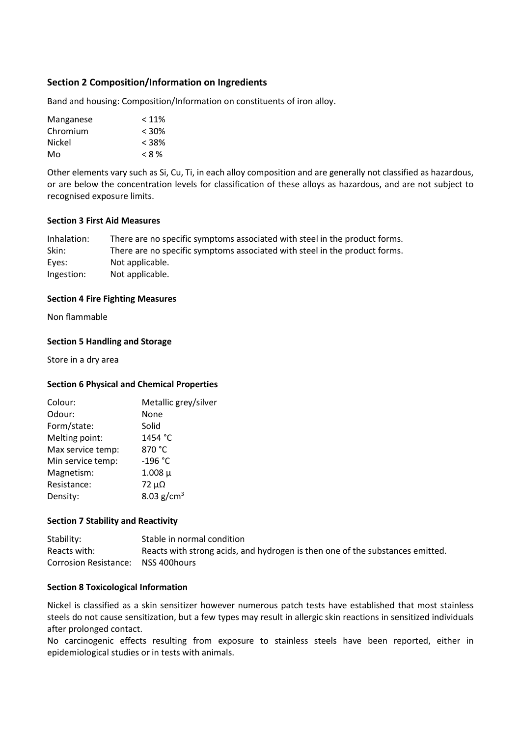# Section 2 Composition/Information on Ingredients

Band and housing: Composition/Information on constituents of iron alloy.

| Manganese | $< 11\%$ |
|-----------|----------|
| Chromium  | $< 30\%$ |
| Nickel    | $< 38\%$ |
| Mo        | $< 8\%$  |

Other elements vary such as Si, Cu, Ti, in each alloy composition and are generally not classified as hazardous, or are below the concentration levels for classification of these alloys as hazardous, and are not subject to recognised exposure limits.

#### Section 3 First Aid Measures

| Inhalation: | There are no specific symptoms associated with steel in the product forms. |
|-------------|----------------------------------------------------------------------------|
| Skin:       | There are no specific symptoms associated with steel in the product forms. |
| Eyes:       | Not applicable.                                                            |
| Ingestion:  | Not applicable.                                                            |

#### Section 4 Fire Fighting Measures

Non flammable

#### Section 5 Handling and Storage

Store in a dry area

#### Section 6 Physical and Chemical Properties

| Colour:           | Metallic grey/silver |
|-------------------|----------------------|
| Odour:            | None                 |
| Form/state:       | Solid                |
| Melting point:    | 1454 °C              |
| Max service temp: | 870 °C               |
| Min service temp: | $-196 °C$            |
| Magnetism:        | $1.008 \mu$          |
| Resistance:       | $72 \mu\Omega$       |
| Density:          | 8.03 $g/cm^{3}$      |

#### Section 7 Stability and Reactivity

Stability: Stable in normal condition Reacts with: Reacts with strong acids, and hydrogen is then one of the substances emitted. Corrosion Resistance: NSS 400hours

#### Section 8 Toxicological Information

Nickel is classified as a skin sensitizer however numerous patch tests have established that most stainless steels do not cause sensitization, but a few types may result in allergic skin reactions in sensitized individuals after prolonged contact.

No carcinogenic effects resulting from exposure to stainless steels have been reported, either in epidemiological studies or in tests with animals.